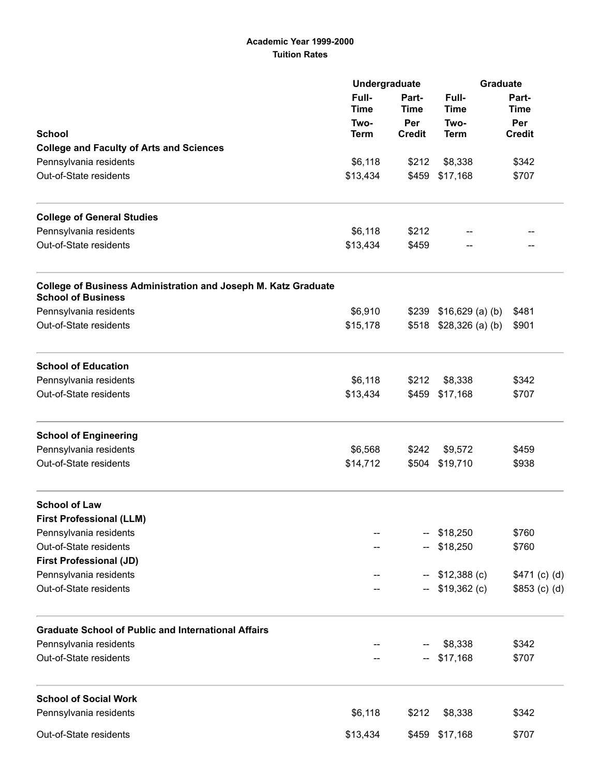## Academic Year 1999-2000 Tuition Rates

|                                                                                                    | Undergraduate        |                             | <b>Graduate</b>          |                             |
|----------------------------------------------------------------------------------------------------|----------------------|-----------------------------|--------------------------|-----------------------------|
|                                                                                                    | Full-<br><b>Time</b> | Part-<br><b>Time</b><br>Per | Full-<br><b>Time</b>     | Part-<br><b>Time</b><br>Per |
| <b>School</b>                                                                                      | Two-                 |                             | Two-<br><b>Term</b>      |                             |
| <b>College and Faculty of Arts and Sciences</b>                                                    | <b>Term</b>          | <b>Credit</b>               |                          | <b>Credit</b>               |
| Pennsylvania residents                                                                             | \$6,118              | \$212                       | \$8,338                  | \$342                       |
| Out-of-State residents                                                                             | \$13,434             | \$459                       | \$17,168                 | \$707                       |
|                                                                                                    |                      |                             |                          |                             |
| <b>College of General Studies</b>                                                                  |                      |                             |                          |                             |
| Pennsylvania residents                                                                             | \$6,118              | \$212                       |                          |                             |
| Out-of-State residents                                                                             | \$13,434             | \$459                       |                          |                             |
| <b>College of Business Administration and Joseph M. Katz Graduate</b><br><b>School of Business</b> |                      |                             |                          |                             |
| Pennsylvania residents                                                                             | \$6,910              |                             | $$239$ $$16,629$ (a) (b) | \$481                       |
| Out-of-State residents                                                                             | \$15,178             |                             | $$518$ $$28,326$ (a) (b) | \$901                       |
| <b>School of Education</b>                                                                         |                      |                             |                          |                             |
| Pennsylvania residents                                                                             | \$6,118              | \$212                       | \$8,338                  | \$342                       |
| Out-of-State residents                                                                             | \$13,434             | \$459                       | \$17,168                 | \$707                       |
| <b>School of Engineering</b>                                                                       |                      |                             |                          |                             |
| Pennsylvania residents                                                                             | \$6,568              | \$242                       | \$9,572                  | \$459                       |
| Out-of-State residents                                                                             | \$14,712             | \$504                       | \$19,710                 | \$938                       |
| <b>School of Law</b>                                                                               |                      |                             |                          |                             |
| <b>First Professional (LLM)</b>                                                                    |                      |                             |                          |                             |
| Pennsylvania residents                                                                             |                      |                             | \$18,250                 | \$760                       |
| Out-of-State residents                                                                             |                      |                             | \$18,250                 | \$760                       |
| <b>First Professional (JD)</b>                                                                     |                      |                             |                          |                             |
| Pennsylvania residents                                                                             |                      |                             | $$12,388$ (c)            | \$471 (c) (d)               |
| Out-of-State residents                                                                             |                      |                             | $$19,362$ (c)            | $$853$ (c) (d)              |
| <b>Graduate School of Public and International Affairs</b>                                         |                      |                             |                          |                             |
| Pennsylvania residents                                                                             |                      |                             | \$8,338                  | \$342                       |
| Out-of-State residents                                                                             |                      | н.                          | \$17,168                 | \$707                       |
| <b>School of Social Work</b>                                                                       |                      |                             |                          |                             |
| Pennsylvania residents                                                                             | \$6,118              | \$212                       | \$8,338                  | \$342                       |
| Out-of-State residents                                                                             | \$13,434             | \$459                       | \$17,168                 | \$707                       |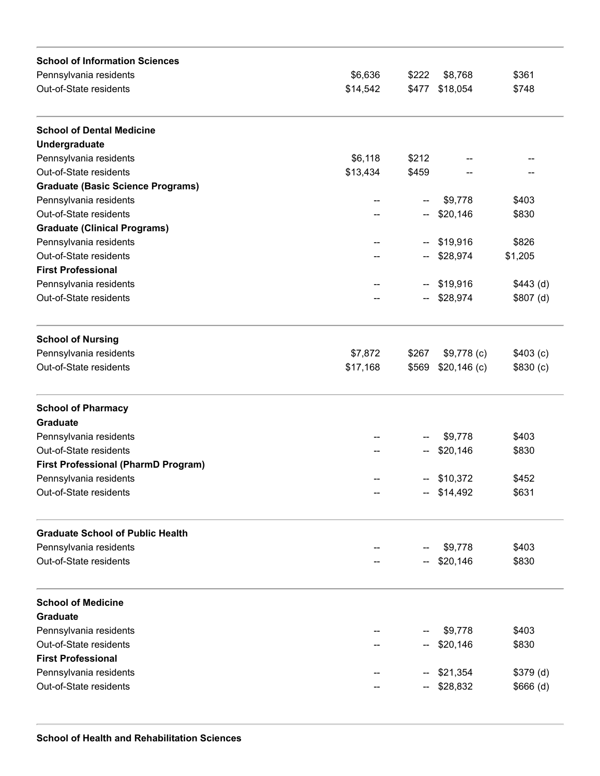| \$361<br>\$6,636<br>\$222<br>\$8,768<br>\$14,542<br>\$477 \$18,054<br>\$748<br>\$6,118<br>\$212<br>\$13,434<br>\$459<br>\$9,778<br>\$403<br>\$20,146<br>\$830<br>\$826<br>\$19,916<br>н.<br>\$28,974<br>\$1,205<br>\$443(d)<br>\$19,916<br>н.<br>$$807$ (d)<br>\$28,974<br>\$7,872<br>\$267<br>$$9,778$ (c)<br>\$403(c)<br>\$17,168<br>\$569<br>$$20,146$ (c)<br>\$830(c)<br>\$9,778<br>\$403<br>\$20,146<br>\$830<br><b>First Professional (PharmD Program)</b><br>\$10,372<br>\$452<br>$-$ \$14,492<br>\$631<br>\$9,778<br>\$403<br>\$20,146<br>\$830<br>\$9,778<br>\$403<br>\$20,146<br>\$830<br>\$21,354<br>\$379(d)<br>\$28,832<br>\$666(d) | <b>School of Information Sciences</b>    |  |  |  |
|--------------------------------------------------------------------------------------------------------------------------------------------------------------------------------------------------------------------------------------------------------------------------------------------------------------------------------------------------------------------------------------------------------------------------------------------------------------------------------------------------------------------------------------------------------------------------------------------------------------------------------------------------|------------------------------------------|--|--|--|
|                                                                                                                                                                                                                                                                                                                                                                                                                                                                                                                                                                                                                                                  | Pennsylvania residents                   |  |  |  |
|                                                                                                                                                                                                                                                                                                                                                                                                                                                                                                                                                                                                                                                  | Out-of-State residents                   |  |  |  |
|                                                                                                                                                                                                                                                                                                                                                                                                                                                                                                                                                                                                                                                  | <b>School of Dental Medicine</b>         |  |  |  |
|                                                                                                                                                                                                                                                                                                                                                                                                                                                                                                                                                                                                                                                  | Undergraduate                            |  |  |  |
|                                                                                                                                                                                                                                                                                                                                                                                                                                                                                                                                                                                                                                                  | Pennsylvania residents                   |  |  |  |
|                                                                                                                                                                                                                                                                                                                                                                                                                                                                                                                                                                                                                                                  | Out-of-State residents                   |  |  |  |
|                                                                                                                                                                                                                                                                                                                                                                                                                                                                                                                                                                                                                                                  | <b>Graduate (Basic Science Programs)</b> |  |  |  |
|                                                                                                                                                                                                                                                                                                                                                                                                                                                                                                                                                                                                                                                  | Pennsylvania residents                   |  |  |  |
|                                                                                                                                                                                                                                                                                                                                                                                                                                                                                                                                                                                                                                                  | Out-of-State residents                   |  |  |  |
|                                                                                                                                                                                                                                                                                                                                                                                                                                                                                                                                                                                                                                                  | <b>Graduate (Clinical Programs)</b>      |  |  |  |
|                                                                                                                                                                                                                                                                                                                                                                                                                                                                                                                                                                                                                                                  | Pennsylvania residents                   |  |  |  |
|                                                                                                                                                                                                                                                                                                                                                                                                                                                                                                                                                                                                                                                  | Out-of-State residents                   |  |  |  |
|                                                                                                                                                                                                                                                                                                                                                                                                                                                                                                                                                                                                                                                  | <b>First Professional</b>                |  |  |  |
|                                                                                                                                                                                                                                                                                                                                                                                                                                                                                                                                                                                                                                                  | Pennsylvania residents                   |  |  |  |
|                                                                                                                                                                                                                                                                                                                                                                                                                                                                                                                                                                                                                                                  | Out-of-State residents                   |  |  |  |
|                                                                                                                                                                                                                                                                                                                                                                                                                                                                                                                                                                                                                                                  | <b>School of Nursing</b>                 |  |  |  |
|                                                                                                                                                                                                                                                                                                                                                                                                                                                                                                                                                                                                                                                  | Pennsylvania residents                   |  |  |  |
|                                                                                                                                                                                                                                                                                                                                                                                                                                                                                                                                                                                                                                                  | Out-of-State residents                   |  |  |  |
|                                                                                                                                                                                                                                                                                                                                                                                                                                                                                                                                                                                                                                                  | <b>School of Pharmacy</b>                |  |  |  |
|                                                                                                                                                                                                                                                                                                                                                                                                                                                                                                                                                                                                                                                  | <b>Graduate</b>                          |  |  |  |
|                                                                                                                                                                                                                                                                                                                                                                                                                                                                                                                                                                                                                                                  | Pennsylvania residents                   |  |  |  |
|                                                                                                                                                                                                                                                                                                                                                                                                                                                                                                                                                                                                                                                  | Out-of-State residents                   |  |  |  |
|                                                                                                                                                                                                                                                                                                                                                                                                                                                                                                                                                                                                                                                  |                                          |  |  |  |
|                                                                                                                                                                                                                                                                                                                                                                                                                                                                                                                                                                                                                                                  | Pennsylvania residents                   |  |  |  |
|                                                                                                                                                                                                                                                                                                                                                                                                                                                                                                                                                                                                                                                  | Out-of-State residents                   |  |  |  |
|                                                                                                                                                                                                                                                                                                                                                                                                                                                                                                                                                                                                                                                  | <b>Graduate School of Public Health</b>  |  |  |  |
|                                                                                                                                                                                                                                                                                                                                                                                                                                                                                                                                                                                                                                                  | Pennsylvania residents                   |  |  |  |
|                                                                                                                                                                                                                                                                                                                                                                                                                                                                                                                                                                                                                                                  | Out-of-State residents                   |  |  |  |
|                                                                                                                                                                                                                                                                                                                                                                                                                                                                                                                                                                                                                                                  | <b>School of Medicine</b>                |  |  |  |
|                                                                                                                                                                                                                                                                                                                                                                                                                                                                                                                                                                                                                                                  | <b>Graduate</b>                          |  |  |  |
|                                                                                                                                                                                                                                                                                                                                                                                                                                                                                                                                                                                                                                                  | Pennsylvania residents                   |  |  |  |
|                                                                                                                                                                                                                                                                                                                                                                                                                                                                                                                                                                                                                                                  | Out-of-State residents                   |  |  |  |
|                                                                                                                                                                                                                                                                                                                                                                                                                                                                                                                                                                                                                                                  | <b>First Professional</b>                |  |  |  |
|                                                                                                                                                                                                                                                                                                                                                                                                                                                                                                                                                                                                                                                  | Pennsylvania residents                   |  |  |  |
|                                                                                                                                                                                                                                                                                                                                                                                                                                                                                                                                                                                                                                                  | Out-of-State residents                   |  |  |  |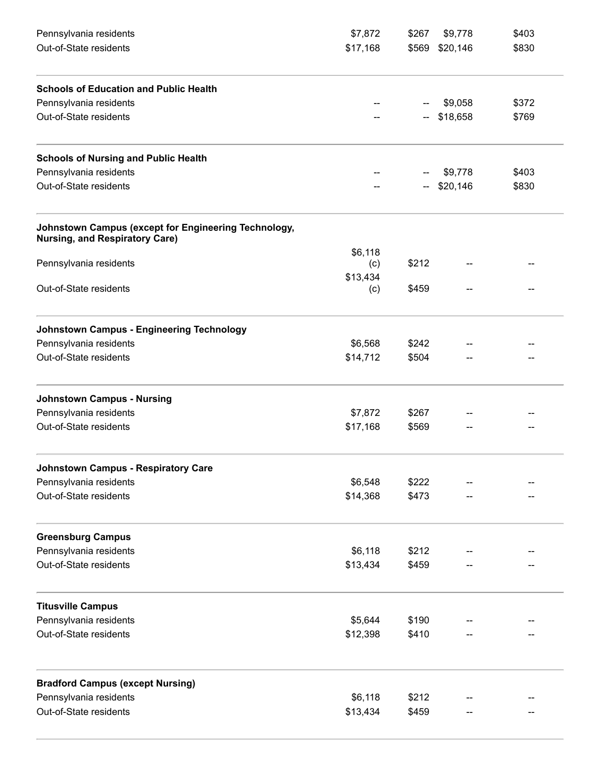| Pennsylvania residents                                                                        | \$7,872  | \$267                    | \$9,778        | \$403 |
|-----------------------------------------------------------------------------------------------|----------|--------------------------|----------------|-------|
| Out-of-State residents                                                                        | \$17,168 |                          | \$569 \$20,146 | \$830 |
| <b>Schools of Education and Public Health</b>                                                 |          |                          |                |       |
| Pennsylvania residents                                                                        |          |                          | \$9,058        | \$372 |
| Out-of-State residents                                                                        |          | $\overline{\phantom{a}}$ | \$18,658       | \$769 |
| <b>Schools of Nursing and Public Health</b>                                                   |          |                          |                |       |
| Pennsylvania residents                                                                        |          |                          | \$9,778        | \$403 |
| Out-of-State residents                                                                        |          |                          | \$20,146       | \$830 |
| Johnstown Campus (except for Engineering Technology,<br><b>Nursing, and Respiratory Care)</b> |          |                          |                |       |
|                                                                                               | \$6,118  |                          |                |       |
| Pennsylvania residents                                                                        | (c)      | \$212                    |                |       |
|                                                                                               | \$13,434 |                          |                |       |
| Out-of-State residents                                                                        | (c)      | \$459                    |                |       |
| <b>Johnstown Campus - Engineering Technology</b>                                              |          |                          |                |       |
| Pennsylvania residents                                                                        | \$6,568  | \$242                    |                |       |
| Out-of-State residents                                                                        | \$14,712 | \$504                    |                |       |
| <b>Johnstown Campus - Nursing</b>                                                             |          |                          |                |       |
| Pennsylvania residents                                                                        | \$7,872  | \$267                    |                |       |
| Out-of-State residents                                                                        | \$17,168 | \$569                    |                |       |
| <b>Johnstown Campus - Respiratory Care</b>                                                    |          |                          |                |       |
| Pennsylvania residents                                                                        | \$6,548  | \$222                    |                |       |
| Out-of-State residents                                                                        | \$14,368 | \$473                    |                |       |
| <b>Greensburg Campus</b>                                                                      |          |                          |                |       |
| Pennsylvania residents                                                                        | \$6,118  | \$212                    |                |       |
| Out-of-State residents                                                                        | \$13,434 | \$459                    |                |       |
| <b>Titusville Campus</b>                                                                      |          |                          |                |       |
| Pennsylvania residents                                                                        | \$5,644  | \$190                    |                |       |
| Out-of-State residents                                                                        | \$12,398 | \$410                    |                |       |
| <b>Bradford Campus (except Nursing)</b>                                                       |          |                          |                |       |
| Pennsylvania residents                                                                        | \$6,118  | \$212                    |                |       |
| Out-of-State residents                                                                        | \$13,434 | \$459                    |                |       |